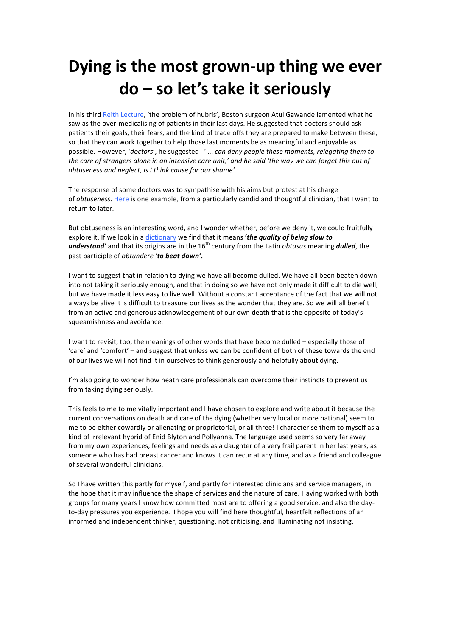# Dying is the most grown-up thing we ever **do – so let's take it seriously**

In his third Reith Lecture, 'the problem of hubris', Boston surgeon Atul Gawande lamented what he saw as the over-medicalising of patients in their last days. He suggested that doctors should ask patients their goals, their fears, and the kind of trade offs they are prepared to make between these, so that they can work together to help those last moments be as meaningful and enjoyable as possible. However, 'doctors', he suggested '.... *can deny people these moments, relegating them to* the care of strangers alone in an intensive care unit,' and he said 'the way we can forget this out of *obtuseness and neglect, is I think cause for our shame'.* 

The response of some doctors was to sympathise with his aims but protest at his charge of *obtuseness*. Here is one example, from a particularly candid and thoughtful clinician, that I want to return to later.

But obtuseness is an interesting word, and I wonder whether, before we deny it, we could fruitfully explore it. If we look in a dictionary we find that it means **'the quality of being slow to** *understand'* and that its origins are in the 16<sup>th</sup> century from the Latin *obtusus* meaning *dulled*, the past participle of *obtundere* 'to **beat down'.** 

I want to suggest that in relation to dying we have all become dulled. We have all been beaten down into not taking it seriously enough, and that in doing so we have not only made it difficult to die well, but we have made it less easy to live well. Without a constant acceptance of the fact that we will not always be alive it is difficult to treasure our lives as the wonder that they are. So we will all benefit from an active and generous acknowledgement of our own death that is the opposite of today's squeamishness and avoidance.

I want to revisit, too, the meanings of other words that have become dulled – especially those of 'care' and 'comfort' - and suggest that unless we can be confident of both of these towards the end of our lives we will not find it in ourselves to think generously and helpfully about dying.

I'm also going to wonder how heath care professionals can overcome their instincts to prevent us from taking dying seriously.

This feels to me to me vitally important and I have chosen to explore and write about it because the current conversations on death and care of the dying (whether very local or more national) seem to me to be either cowardly or alienating or proprietorial, or all three! I characterise them to myself as a kind of irrelevant hybrid of Enid Blyton and Pollyanna. The language used seems so very far away from my own experiences, feelings and needs as a daughter of a very frail parent in her last years, as someone who has had breast cancer and knows it can recur at any time, and as a friend and colleague of several wonderful clinicians.

So I have written this partly for myself, and partly for interested clinicians and service managers, in the hope that it may influence the shape of services and the nature of care. Having worked with both groups for many years I know how committed most are to offering a good service, and also the dayto-day pressures you experience. I hope you will find here thoughtful, heartfelt reflections of an informed and independent thinker, questioning, not criticising, and illuminating not insisting.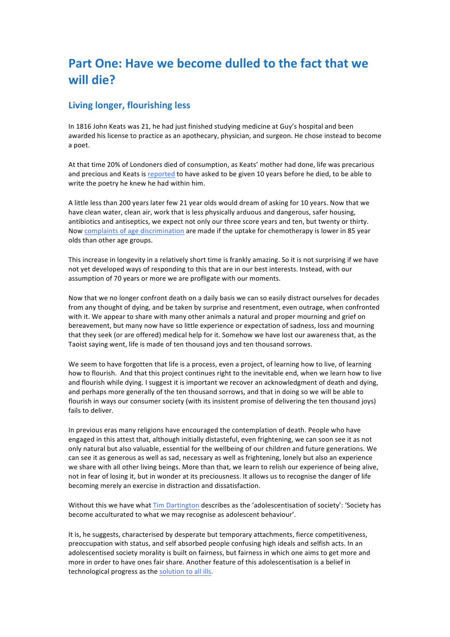## **Part One: Have we become dulled to the fact that we will die?**

## **Living longer, flourishing less**

In 1816 John Keats was 21, he had just finished studying medicine at Guy's hospital and been awarded his license to practice as an apothecary, physician, and surgeon. He chose instead to become a poet.

At that time 20% of Londoners died of consumption, as Keats' mother had done, life was precarious and precious and Keats is reported to have asked to be given 10 years before he died, to be able to write the poetry he knew he had within him.

A little less than 200 years later few 21 year olds would dream of asking for 10 years. Now that we have clean water, clean air, work that is less physically arduous and dangerous, safer housing, antibiotics and antiseptics, we expect not only our three score years and ten, but twenty or thirty. Now complaints of age discrimination are made if the uptake for chemotherapy is lower in 85 year olds than other age groups.

This increase in longevity in a relatively short time is frankly amazing. So it is not surprising if we have not yet developed ways of responding to this that are in our best interests. Instead, with our assumption of 70 years or more we are profligate with our moments.

Now that we no longer confront death on a daily basis we can so easily distract ourselves for decades from any thought of dying, and be taken by surprise and resentment, even outrage, when confronted with it. We appear to share with many other animals a natural and proper mourning and grief on bereavement, but many now have so little experience or expectation of sadness, loss and mourning that they seek (or are offered) medical help for it. Somehow we have lost our awareness that, as the Taoist saying went, life is made of ten thousand joys and ten thousand sorrows.

We seem to have forgotten that life is a process, even a project, of learning how to live, of learning how to flourish. And that this project continues right to the inevitable end, when we learn how to live and flourish while dying. I suggest it is important we recover an acknowledgment of death and dying, and perhaps more generally of the ten thousand sorrows, and that in doing so we will be able to flourish in ways our consumer society (with its insistent promise of delivering the ten thousand joys) fails to deliver.

In previous eras many religions have encouraged the contemplation of death. People who have engaged in this attest that, although initially distasteful, even frightening, we can soon see it as not only natural but also valuable, essential for the wellbeing of our children and future generations. We can see it as generous as well as sad, necessary as well as frightening, lonely but also an experience we share with all other living beings. More than that, we learn to relish our experience of being alive, not in fear of losing it, but in wonder at its preciousness. It allows us to recognise the danger of life becoming merely an exercise in distraction and dissatisfaction.

Without this we have what Tim Dartington describes as the 'adolescentisation of society': 'Society has become acculturated to what we may recognise as adolescent behaviour'.

It is, he suggests, characterised by desperate but temporary attachments, fierce competitiveness, preoccupation with status, and self absorbed people confusing high ideals and selfish acts. In an adolescentised society morality is built on fairness, but fairness in which one aims to get more and more in order to have ones fair share. Another feature of this adolescentisation is a belief in technological progress as the solution to all ills.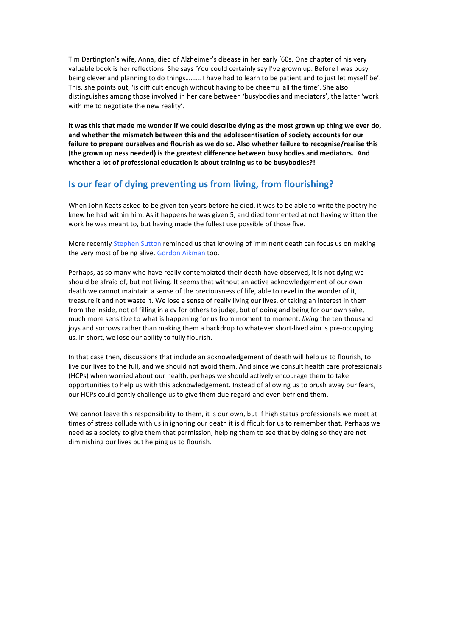Tim Dartington's wife, Anna, died of Alzheimer's disease in her early '60s. One chapter of his very valuable book is her reflections. She says 'You could certainly say I've grown up. Before I was busy being clever and planning to do things......... I have had to learn to be patient and to just let myself be'. This, she points out, 'is difficult enough without having to be cheerful all the time'. She also distinguishes among those involved in her care between 'busybodies and mediators', the latter 'work with me to negotiate the new reality'.

It was this that made me wonder if we could describe dying as the most grown up thing we ever do, and whether the mismatch between this and the adolescentisation of society accounts for our failure to prepare ourselves and flourish as we do so. Also whether failure to recognise/realise this (the grown up ness needed) is the greatest difference between busy bodies and mediators. And **whether a lot of professional education is about training us to be busybodies?!** 

## **Is our fear of dying preventing us from living, from flourishing?**

When John Keats asked to be given ten years before he died, it was to be able to write the poetry he knew he had within him. As it happens he was given 5, and died tormented at not having written the work he was meant to, but having made the fullest use possible of those five.

More recently Stephen Sutton reminded us that knowing of imminent death can focus us on making the very most of being alive. Gordon Aikman too.

Perhaps, as so many who have really contemplated their death have observed, it is not dying we should be afraid of, but not living. It seems that without an active acknowledgement of our own death we cannot maintain a sense of the preciousness of life, able to revel in the wonder of it, treasure it and not waste it. We lose a sense of really living our lives, of taking an interest in them from the inside, not of filling in a cv for others to judge, but of doing and being for our own sake, much more sensitive to what is happening for us from moment to moment, *living* the ten thousand joys and sorrows rather than making them a backdrop to whatever short-lived aim is pre-occupying us. In short, we lose our ability to fully flourish.

In that case then, discussions that include an acknowledgement of death will help us to flourish, to live our lives to the full, and we should not avoid them. And since we consult health care professionals (HCPs) when worried about our health, perhaps we should actively encourage them to take opportunities to help us with this acknowledgement. Instead of allowing us to brush away our fears, our HCPs could gently challenge us to give them due regard and even befriend them.

We cannot leave this responsibility to them, it is our own, but if high status professionals we meet at times of stress collude with us in ignoring our death it is difficult for us to remember that. Perhaps we need as a society to give them that permission, helping them to see that by doing so they are not diminishing our lives but helping us to flourish.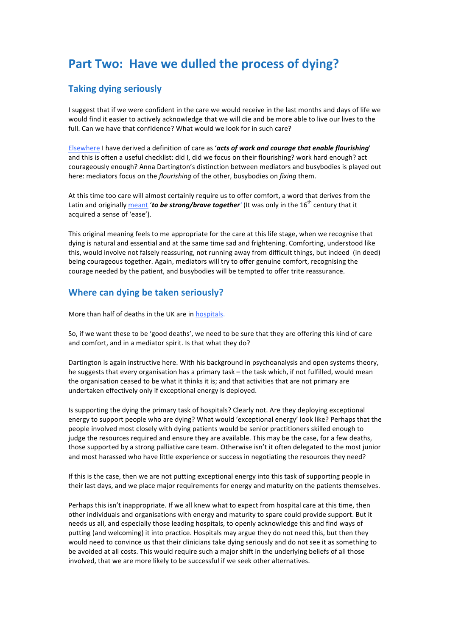## **Part Two: Have we dulled the process of dying?**

## **Taking dying seriously**

I suggest that if we were confident in the care we would receive in the last months and days of life we would find it easier to actively acknowledge that we will die and be more able to live our lives to the full. Can we have that confidence? What would we look for in such care?

Elsewhere I have derived a definition of care as 'acts of work and courage that enable flourishing' and this is often a useful checklist: did I, did we focus on their flourishing? work hard enough? act courageously enough? Anna Dartington's distinction between mediators and busybodies is played out here: mediators focus on the *flourishing* of the other, busybodies on *fixing* them.

At this time too care will almost certainly require us to offer comfort, a word that derives from the Latin and originally meant 'to be strong/brave together' (It was only in the 16<sup>th</sup> century that it acquired a sense of 'ease').

This original meaning feels to me appropriate for the care at this life stage, when we recognise that dying is natural and essential and at the same time sad and frightening. Comforting, understood like this, would involve not falsely reassuring, not running away from difficult things, but indeed (in deed) being courageous together. Again, mediators will try to offer genuine comfort, recognising the courage needed by the patient, and busybodies will be tempted to offer trite reassurance.

## **Where can dying be taken seriously?**

More than half of deaths in the UK are in hospitals.

So, if we want these to be 'good deaths', we need to be sure that they are offering this kind of care and comfort, and in a mediator spirit. Is that what they do?

Dartington is again instructive here. With his background in psychoanalysis and open systems theory, he suggests that every organisation has a primary task – the task which, if not fulfilled, would mean the organisation ceased to be what it thinks it is; and that activities that are not primary are undertaken effectively only if exceptional energy is deployed.

Is supporting the dying the primary task of hospitals? Clearly not. Are they deploying exceptional energy to support people who are dying? What would 'exceptional energy' look like? Perhaps that the people involved most closely with dying patients would be senior practitioners skilled enough to judge the resources required and ensure they are available. This may be the case, for a few deaths, those supported by a strong palliative care team. Otherwise isn't it often delegated to the most junior and most harassed who have little experience or success in negotiating the resources they need?

If this is the case, then we are not putting exceptional energy into this task of supporting people in their last days, and we place major requirements for energy and maturity on the patients themselves.

Perhaps this isn't inappropriate. If we all knew what to expect from hospital care at this time, then other individuals and organisations with energy and maturity to spare could provide support. But it needs us all, and especially those leading hospitals, to openly acknowledge this and find ways of putting (and welcoming) it into practice. Hospitals may argue they do not need this, but then they would need to convince us that their clinicians take dying seriously and do not see it as something to be avoided at all costs. This would require such a major shift in the underlying beliefs of all those involved, that we are more likely to be successful if we seek other alternatives.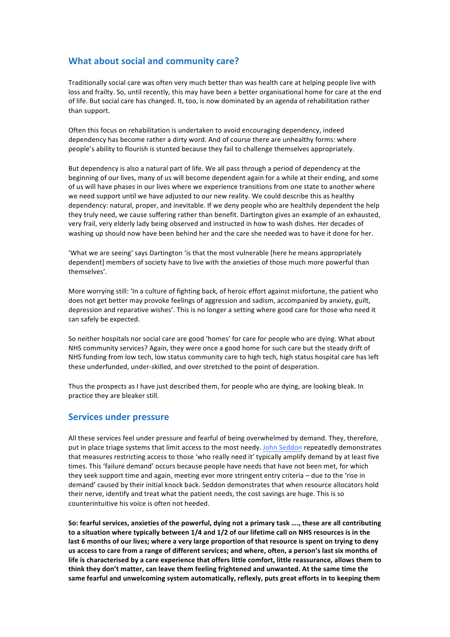## **What about social and community care?**

Traditionally social care was often very much better than was health care at helping people live with loss and frailty. So, until recently, this may have been a better organisational home for care at the end of life. But social care has changed. It, too, is now dominated by an agenda of rehabilitation rather than support.

Often this focus on rehabilitation is undertaken to avoid encouraging dependency, indeed dependency has become rather a dirty word. And of course there are unhealthy forms: where people's ability to flourish is stunted because they fail to challenge themselves appropriately.

But dependency is also a natural part of life. We all pass through a period of dependency at the beginning of our lives, many of us will become dependent again for a while at their ending, and some of us will have phases in our lives where we experience transitions from one state to another where we need support until we have adjusted to our new reality. We could describe this as healthy dependency: natural, proper, and inevitable. If we deny people who are healthily dependent the help they truly need, we cause suffering rather than benefit. Dartington gives an example of an exhausted, very frail, very elderly lady being observed and instructed in how to wash dishes. Her decades of washing up should now have been behind her and the care she needed was to have it done for her.

'What we are seeing' says Dartington 'is that the most vulnerable [here he means appropriately dependent] members of society have to live with the anxieties of those much more powerful than themselves'.

More worrying still: 'In a culture of fighting back, of heroic effort against misfortune, the patient who does not get better may provoke feelings of aggression and sadism, accompanied by anxiety, guilt, depression and reparative wishes'. This is no longer a setting where good care for those who need it can safely be expected.

So neither hospitals nor social care are good 'homes' for care for people who are dying. What about NHS community services? Again, they were once a good home for such care but the steady drift of NHS funding from low tech, low status community care to high tech, high status hospital care has left these underfunded, under-skilled, and over stretched to the point of desperation.

Thus the prospects as I have just described them, for people who are dying, are looking bleak. In practice they are bleaker still.

### **Services under pressure**

All these services feel under pressure and fearful of being overwhelmed by demand. They, therefore, put in place triage systems that limit access to the most needy. John Seddon repeatedly demonstrates that measures restricting access to those 'who really need it' typically amplify demand by at least five times. This 'failure demand' occurs because people have needs that have not been met, for which they seek support time and again, meeting ever more stringent entry criteria - due to the 'rise in demand' caused by their initial knock back. Seddon demonstrates that when resource allocators hold their nerve, identify and treat what the patient needs, the cost savings are huge. This is so counterintuitive his voice is often not heeded.

So: fearful services, anxieties of the powerful, dying not a primary task ...., these are all contributing to a situation where typically between 1/4 and 1/2 of our lifetime call on NHS resources is in the last 6 months of our lives; where a very large proportion of that resource is spent on trying to deny us access to care from a range of different services; and where, often, a person's last six months of life is characterised by a care experience that offers little comfort, little reassurance, allows them to think they don't matter, can leave them feeling frightened and unwanted. At the same time the same fearful and unwelcoming system automatically, reflexly, puts great efforts in to keeping them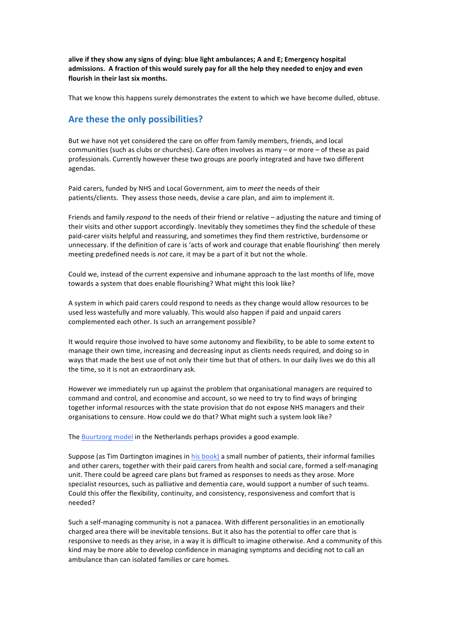alive if they show any signs of dying: blue light ambulances; A and E; Emergency hospital admissions. A fraction of this would surely pay for all the help they needed to enjoy and even flourish in their last six months.

That we know this happens surely demonstrates the extent to which we have become dulled, obtuse.

### Are these the only possibilities?

But we have not yet considered the care on offer from family members, friends, and local communities (such as clubs or churches). Care often involves as many  $-$  or more  $-$  of these as paid professionals. Currently however these two groups are poorly integrated and have two different agendas.

Paid carers, funded by NHS and Local Government, aim to *meet* the needs of their patients/clients. They assess those needs, devise a care plan, and aim to implement it.

Friends and family *respond* to the needs of their friend or relative – adjusting the nature and timing of their visits and other support accordingly. Inevitably they sometimes they find the schedule of these paid-carer visits helpful and reassuring, and sometimes they find them restrictive, burdensome or unnecessary. If the definition of care is 'acts of work and courage that enable flourishing' then merely meeting predefined needs is *not* care, it may be a part of it but not the whole.

Could we, instead of the current expensive and inhumane approach to the last months of life, move towards a system that does enable flourishing? What might this look like?

A system in which paid carers could respond to needs as they change would allow resources to be used less wastefully and more valuably. This would also happen if paid and unpaid carers complemented each other. Is such an arrangement possible?

It would require those involved to have some autonomy and flexibility, to be able to some extent to manage their own time, increasing and decreasing input as clients needs required, and doing so in ways that made the best use of not only their time but that of others. In our daily lives we do this all the time, so it is not an extraordinary ask.

However we immediately run up against the problem that organisational managers are required to command and control, and economise and account, so we need to try to find ways of bringing together informal resources with the state provision that do not expose NHS managers and their organisations to censure. How could we do that? What might such a system look like?

The Buurtzorg model in the Netherlands perhaps provides a good example.

Suppose (as Tim Dartington imagines in his book) a small number of patients, their informal families and other carers, together with their paid carers from health and social care, formed a self-managing unit. There could be agreed care plans but framed as responses to needs as they arose. More specialist resources, such as palliative and dementia care, would support a number of such teams. Could this offer the flexibility, continuity, and consistency, responsiveness and comfort that is needed?

Such a self-managing community is not a panacea. With different personalities in an emotionally charged area there will be inevitable tensions. But it also has the potential to offer care that is responsive to needs as they arise, in a way it is difficult to imagine otherwise. And a community of this kind may be more able to develop confidence in managing symptoms and deciding not to call an ambulance than can isolated families or care homes.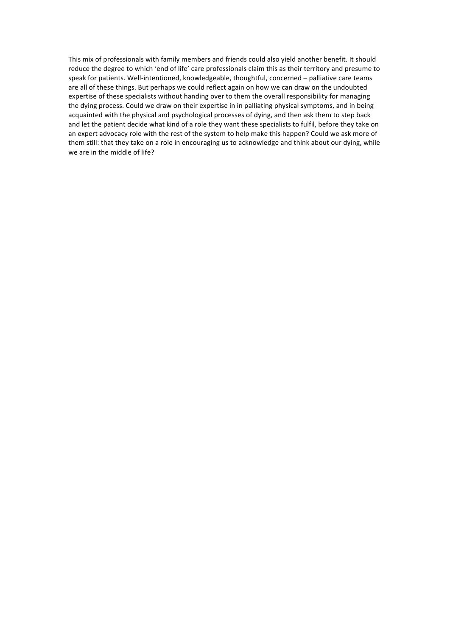This mix of professionals with family members and friends could also yield another benefit. It should reduce the degree to which 'end of life' care professionals claim this as their territory and presume to speak for patients. Well-intentioned, knowledgeable, thoughtful, concerned - palliative care teams are all of these things. But perhaps we could reflect again on how we can draw on the undoubted expertise of these specialists without handing over to them the overall responsibility for managing the dying process. Could we draw on their expertise in in palliating physical symptoms, and in being acquainted with the physical and psychological processes of dying, and then ask them to step back and let the patient decide what kind of a role they want these specialists to fulfil, before they take on an expert advocacy role with the rest of the system to help make this happen? Could we ask more of them still: that they take on a role in encouraging us to acknowledge and think about our dying, while we are in the middle of life?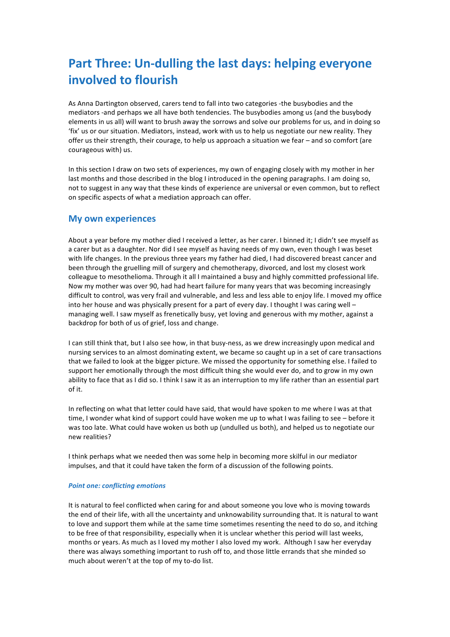## Part Three: Un-dulling the last days: helping everyone **involved** to flourish

As Anna Dartington observed, carers tend to fall into two categories -the busybodies and the mediators -and perhaps we all have both tendencies. The busybodies among us (and the busybody elements in us all) will want to brush away the sorrows and solve our problems for us, and in doing so 'fix' us or our situation. Mediators, instead, work with us to help us negotiate our new reality. They offer us their strength, their courage, to help us approach a situation we fear  $-$  and so comfort (are courageous with) us.

In this section I draw on two sets of experiences, my own of engaging closely with my mother in her last months and those described in the blog I introduced in the opening paragraphs. I am doing so, not to suggest in any way that these kinds of experience are universal or even common, but to reflect on specific aspects of what a mediation approach can offer.

### **My own experiences**

About a year before my mother died I received a letter, as her carer. I binned it; I didn't see myself as a carer but as a daughter. Nor did I see myself as having needs of my own, even though I was beset with life changes. In the previous three years my father had died, I had discovered breast cancer and been through the gruelling mill of surgery and chemotherapy, divorced, and lost my closest work colleague to mesothelioma. Through it all I maintained a busy and highly committed professional life. Now my mother was over 90, had had heart failure for many years that was becoming increasingly difficult to control, was very frail and vulnerable, and less and less able to enjoy life. I moved my office into her house and was physically present for a part of every day. I thought I was caring well managing well. I saw myself as frenetically busy, yet loving and generous with my mother, against a backdrop for both of us of grief, loss and change.

I can still think that, but I also see how, in that busy-ness, as we drew increasingly upon medical and nursing services to an almost dominating extent, we became so caught up in a set of care transactions that we failed to look at the bigger picture. We missed the opportunity for something else. I failed to support her emotionally through the most difficult thing she would ever do, and to grow in my own ability to face that as I did so. I think I saw it as an interruption to my life rather than an essential part of it.

In reflecting on what that letter could have said, that would have spoken to me where I was at that time, I wonder what kind of support could have woken me up to what I was failing to see – before it was too late. What could have woken us both up (undulled us both), and helped us to negotiate our new realities?

I think perhaps what we needed then was some help in becoming more skilful in our mediator impulses, and that it could have taken the form of a discussion of the following points.

#### **Point one: conflicting emotions**

It is natural to feel conflicted when caring for and about someone you love who is moving towards the end of their life, with all the uncertainty and unknowability surrounding that. It is natural to want to love and support them while at the same time sometimes resenting the need to do so, and itching to be free of that responsibility, especially when it is unclear whether this period will last weeks, months or years. As much as I loved my mother I also loved my work. Although I saw her everyday there was always something important to rush off to, and those little errands that she minded so much about weren't at the top of my to-do list.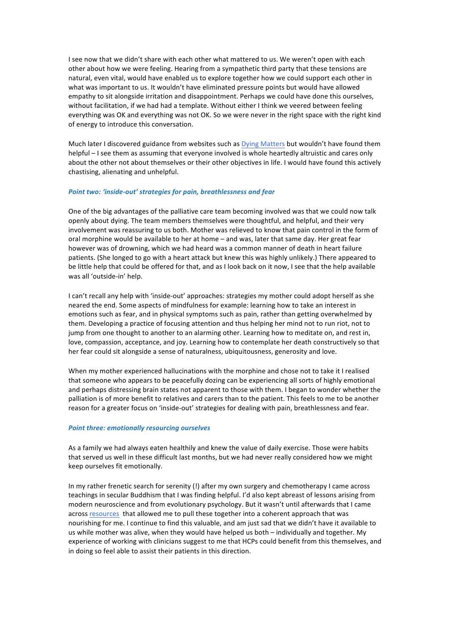I see now that we didn't share with each other what mattered to us. We weren't open with each other about how we were feeling. Hearing from a sympathetic third party that these tensions are natural, even vital, would have enabled us to explore together how we could support each other in what was important to us. It wouldn't have eliminated pressure points but would have allowed empathy to sit alongside irritation and disappointment. Perhaps we could have done this ourselves, without facilitation, if we had had a template. Without either I think we veered between feeling everything was OK and everything was not OK. So we were never in the right space with the right kind of energy to introduce this conversation.

Much later I discovered guidance from websites such as Dying Matters but wouldn't have found them helpful – I see them as assuming that everyone involved is whole heartedly altruistic and cares only about the other not about themselves or their other objectives in life. I would have found this actively chastising, alienating and unhelpful.

#### *Point two: 'inside-out' strategies for pain, breathlessness and fear*

One of the big advantages of the palliative care team becoming involved was that we could now talk openly about dying. The team members themselves were thoughtful, and helpful, and their very involvement was reassuring to us both. Mother was relieved to know that pain control in the form of oral morphine would be available to her at home – and was, later that same day. Her great fear however was of drowning, which we had heard was a common manner of death in heart failure patients. (She longed to go with a heart attack but knew this was highly unlikely.) There appeared to be little help that could be offered for that, and as I look back on it now, I see that the help available was all 'outside-in' help.

I can't recall any help with 'inside-out' approaches: strategies my mother could adopt herself as she neared the end. Some aspects of mindfulness for example: learning how to take an interest in emotions such as fear, and in physical symptoms such as pain, rather than getting overwhelmed by them. Developing a practice of focusing attention and thus helping her mind not to run riot, not to jump from one thought to another to an alarming other. Learning how to meditate on, and rest in, love, compassion, acceptance, and joy. Learning how to contemplate her death constructively so that her fear could sit alongside a sense of naturalness, ubiquitousness, generosity and love.

When my mother experienced hallucinations with the morphine and chose not to take it I realised that someone who appears to be peacefully dozing can be experiencing all sorts of highly emotional and perhaps distressing brain states not apparent to those with them. I began to wonder whether the palliation is of more benefit to relatives and carers than to the patient. This feels to me to be another reason for a greater focus on 'inside-out' strategies for dealing with pain, breathlessness and fear.

#### **Point three: emotionally resourcing ourselves**

As a family we had always eaten healthily and knew the value of daily exercise. Those were habits that served us well in these difficult last months, but we had never really considered how we might keep ourselves fit emotionally.

In my rather frenetic search for serenity (!) after my own surgery and chemotherapy I came across teachings in secular Buddhism that I was finding helpful. I'd also kept abreast of lessons arising from modern neuroscience and from evolutionary psychology. But it wasn't until afterwards that I came across resources that allowed me to pull these together into a coherent approach that was nourishing for me. I continue to find this valuable, and am just sad that we didn't have it available to us while mother was alive, when they would have helped us both – individually and together. My experience of working with clinicians suggest to me that HCPs could benefit from this themselves, and in doing so feel able to assist their patients in this direction.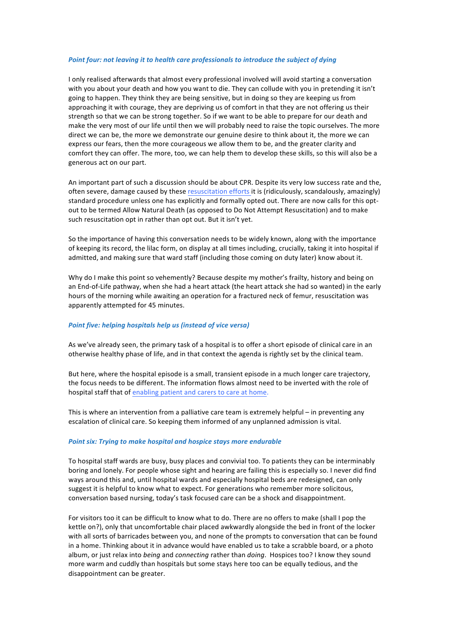#### Point four: not leaving it to health care professionals to introduce the subject of dying

I only realised afterwards that almost every professional involved will avoid starting a conversation with you about your death and how you want to die. They can collude with you in pretending it isn't going to happen. They think they are being sensitive, but in doing so they are keeping us from approaching it with courage, they are depriving us of comfort in that they are not offering us their strength so that we can be strong together. So if we want to be able to prepare for our death and make the very most of our life until then we will probably need to raise the topic ourselves. The more direct we can be, the more we demonstrate our genuine desire to think about it, the more we can express our fears, then the more courageous we allow them to be, and the greater clarity and comfort they can offer. The more, too, we can help them to develop these skills, so this will also be a generous act on our part.

An important part of such a discussion should be about CPR. Despite its very low success rate and the, often severe, damage caused by these resuscitation efforts it is (ridiculously, scandalously, amazingly) standard procedure unless one has explicitly and formally opted out. There are now calls for this optout to be termed Allow Natural Death (as opposed to Do Not Attempt Resuscitation) and to make such resuscitation opt in rather than opt out. But it isn't yet.

So the importance of having this conversation needs to be widely known, along with the importance of keeping its record, the lilac form, on display at all times including, crucially, taking it into hospital if admitted, and making sure that ward staff (including those coming on duty later) know about it.

Why do I make this point so vehemently? Because despite my mother's frailty, history and being on an End-of-Life pathway, when she had a heart attack (the heart attack she had so wanted) in the early hours of the morning while awaiting an operation for a fractured neck of femur, resuscitation was apparently attempted for 45 minutes.

#### **Point five: helping hospitals help us (instead of vice versa)**

As we've already seen, the primary task of a hospital is to offer a short episode of clinical care in an otherwise healthy phase of life, and in that context the agenda is rightly set by the clinical team.

But here, where the hospital episode is a small, transient episode in a much longer care trajectory, the focus needs to be different. The information flows almost need to be inverted with the role of hospital staff that of enabling patient and carers to care at home.

This is where an intervention from a palliative care team is extremely helpful – in preventing any escalation of clinical care. So keeping them informed of any unplanned admission is vital.

#### **Point six: Trying to make hospital and hospice stays more endurable**

To hospital staff wards are busy, busy places and convivial too. To patients they can be interminably boring and lonely. For people whose sight and hearing are failing this is especially so. I never did find ways around this and, until hospital wards and especially hospital beds are redesigned, can only suggest it is helpful to know what to expect. For generations who remember more solicitous, conversation based nursing, today's task focused care can be a shock and disappointment.

For visitors too it can be difficult to know what to do. There are no offers to make (shall I pop the kettle on?), only that uncomfortable chair placed awkwardly alongside the bed in front of the locker with all sorts of barricades between you, and none of the prompts to conversation that can be found in a home. Thinking about it in advance would have enabled us to take a scrabble board, or a photo album, or just relax into *being* and *connecting* rather than *doing*. Hospices too? I know they sound more warm and cuddly than hospitals but some stays here too can be equally tedious, and the disappointment can be greater.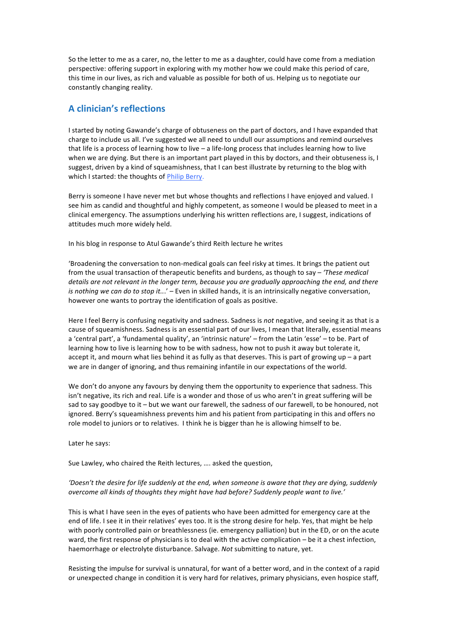So the letter to me as a carer, no, the letter to me as a daughter, could have come from a mediation perspective: offering support in exploring with my mother how we could make this period of care, this time in our lives, as rich and valuable as possible for both of us. Helping us to negotiate our constantly changing reality.

### **A clinician's reflections**

I started by noting Gawande's charge of obtuseness on the part of doctors, and I have expanded that charge to include us all. I've suggested we all need to undull our assumptions and remind ourselves that life is a process of learning how to live  $-$  a life-long process that includes learning how to live when we are dying. But there is an important part played in this by doctors, and their obtuseness is, I suggest, driven by a kind of squeamishness, that I can best illustrate by returning to the blog with which I started: the thoughts of Philip Berry.

Berry is someone I have never met but whose thoughts and reflections I have enjoyed and valued. I see him as candid and thoughtful and highly competent, as someone I would be pleased to meet in a clinical emergency. The assumptions underlying his written reflections are, I suggest, indications of attitudes much more widely held.

In his blog in response to Atul Gawande's third Reith lecture he writes

'Broadening the conversation to non-medical goals can feel risky at times. It brings the patient out from the usual transaction of therapeutic benefits and burdens, as though to say – 'These medical' *details are not relevant in the longer term, because you are gradually approaching the end, and there is* nothing we can do to stop it...' – Even in skilled hands, it is an intrinsically negative conversation, however one wants to portray the identification of goals as positive.

Here I feel Berry is confusing negativity and sadness. Sadness is *not* negative, and seeing it as that is a cause of squeamishness. Sadness is an essential part of our lives, I mean that literally, essential means a 'central part', a 'fundamental quality', an 'intrinsic nature' – from the Latin 'esse' – to be. Part of learning how to live is learning how to be with sadness, how not to push it away but tolerate it, accept it, and mourn what lies behind it as fully as that deserves. This is part of growing up  $-$  a part we are in danger of ignoring, and thus remaining infantile in our expectations of the world.

We don't do anyone any favours by denying them the opportunity to experience that sadness. This isn't negative, its rich and real. Life is a wonder and those of us who aren't in great suffering will be sad to say goodbye to it – but we want our farewell, the sadness of our farewell, to be honoured, not ignored. Berry's squeamishness prevents him and his patient from participating in this and offers no role model to juniors or to relatives. I think he is bigger than he is allowing himself to be.

Later he says:

Sue Lawley, who chaired the Reith lectures, .... asked the question,

#### 'Doesn't the desire for life suddenly at the end, when someone is aware that they are dying, suddenly *overcome all kinds of thoughts they might have had before? Suddenly people want to live.'*

This is what I have seen in the eyes of patients who have been admitted for emergency care at the end of life. I see it in their relatives' eyes too. It is the strong desire for help. Yes, that might be help with poorly controlled pain or breathlessness (ie. emergency palliation) but in the ED, or on the acute ward, the first response of physicians is to deal with the active complication  $-$  be it a chest infection, haemorrhage or electrolyte disturbance. Salvage. Not submitting to nature, yet.

Resisting the impulse for survival is unnatural, for want of a better word, and in the context of a rapid or unexpected change in condition it is very hard for relatives, primary physicians, even hospice staff,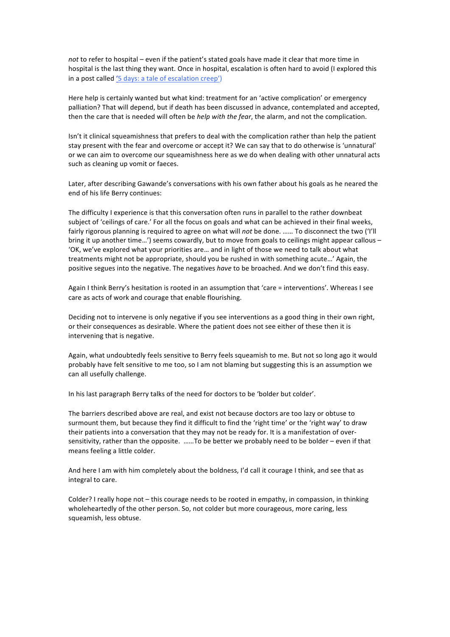*not* to refer to hospital – even if the patient's stated goals have made it clear that more time in hospital is the last thing they want. Once in hospital, escalation is often hard to avoid (I explored this in a post called '5 days: a tale of escalation creep')

Here help is certainly wanted but what kind: treatment for an 'active complication' or emergency palliation? That will depend, but if death has been discussed in advance, contemplated and accepted, then the care that is needed will often be *help with the fear*, the alarm, and not the complication.

Isn't it clinical squeamishness that prefers to deal with the complication rather than help the patient stay present with the fear and overcome or accept it? We can say that to do otherwise is 'unnatural' or we can aim to overcome our squeamishness here as we do when dealing with other unnatural acts such as cleaning up vomit or faeces.

Later, after describing Gawande's conversations with his own father about his goals as he neared the end of his life Berry continues:

The difficulty I experience is that this conversation often runs in parallel to the rather downbeat subject of 'ceilings of care.' For all the focus on goals and what can be achieved in their final weeks, fairly rigorous planning is required to agree on what will *not* be done. ...... To disconnect the two ('I'll bring it up another time...') seems cowardly, but to move from goals to ceilings might appear callous -'OK, we've explored what your priorities are... and in light of those we need to talk about what treatments might not be appropriate, should you be rushed in with something acute...' Again, the positive segues into the negative. The negatives *have* to be broached. And we don't find this easy.

Again I think Berry's hesitation is rooted in an assumption that 'care = interventions'. Whereas I see care as acts of work and courage that enable flourishing.

Deciding not to intervene is only negative if you see interventions as a good thing in their own right, or their consequences as desirable. Where the patient does not see either of these then it is intervening that is negative.

Again, what undoubtedly feels sensitive to Berry feels squeamish to me. But not so long ago it would probably have felt sensitive to me too, so I am not blaming but suggesting this is an assumption we can all usefully challenge.

In his last paragraph Berry talks of the need for doctors to be 'bolder but colder'.

The barriers described above are real, and exist not because doctors are too lazy or obtuse to surmount them, but because they find it difficult to find the 'right time' or the 'right way' to draw their patients into a conversation that they may not be ready for. It is a manifestation of oversensitivity, rather than the opposite. ......To be better we probably need to be bolder – even if that means feeling a little colder.

And here I am with him completely about the boldness, I'd call it courage I think, and see that as integral to care.

Colder? I really hope not - this courage needs to be rooted in empathy, in compassion, in thinking wholeheartedly of the other person. So, not colder but more courageous, more caring, less squeamish, less obtuse.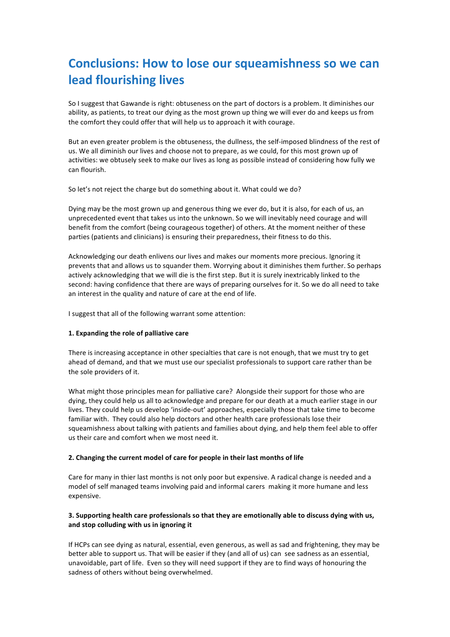## **Conclusions: How to lose our squeamishness so we can lead flourishing lives**

So I suggest that Gawande is right: obtuseness on the part of doctors is a problem. It diminishes our ability, as patients, to treat our dying as the most grown up thing we will ever do and keeps us from the comfort they could offer that will help us to approach it with courage.

But an even greater problem is the obtuseness, the dullness, the self-imposed blindness of the rest of us. We all diminish our lives and choose not to prepare, as we could, for this most grown up of activities: we obtusely seek to make our lives as long as possible instead of considering how fully we can flourish.

So let's not reject the charge but do something about it. What could we do?

Dying may be the most grown up and generous thing we ever do, but it is also, for each of us, an unprecedented event that takes us into the unknown. So we will inevitably need courage and will benefit from the comfort (being courageous together) of others. At the moment neither of these parties (patients and clinicians) is ensuring their preparedness, their fitness to do this.

Acknowledging our death enlivens our lives and makes our moments more precious. Ignoring it prevents that and allows us to squander them. Worrying about it diminishes them further. So perhaps actively acknowledging that we will die is the first step. But it is surely inextricably linked to the second: having confidence that there are ways of preparing ourselves for it. So we do all need to take an interest in the quality and nature of care at the end of life.

I suggest that all of the following warrant some attention:

#### 1. Expanding the role of palliative care

There is increasing acceptance in other specialties that care is not enough, that we must try to get ahead of demand, and that we must use our specialist professionals to support care rather than be the sole providers of it.

What might those principles mean for palliative care? Alongside their support for those who are dying, they could help us all to acknowledge and prepare for our death at a much earlier stage in our lives. They could help us develop 'inside-out' approaches, especially those that take time to become familiar with. They could also help doctors and other health care professionals lose their squeamishness about talking with patients and families about dying, and help them feel able to offer us their care and comfort when we most need it.

#### **2. Changing the current model of care for people in their last months of life**

Care for many in thier last months is not only poor but expensive. A radical change is needed and a model of self managed teams involving paid and informal carers making it more humane and less expensive.

#### **3.** Supporting health care professionals so that they are emotionally able to discuss dying with us, and stop colluding with us in ignoring it

If HCPs can see dying as natural, essential, even generous, as well as sad and frightening, they may be better able to support us. That will be easier if they (and all of us) can see sadness as an essential, unavoidable, part of life. Even so they will need support if they are to find ways of honouring the sadness of others without being overwhelmed.